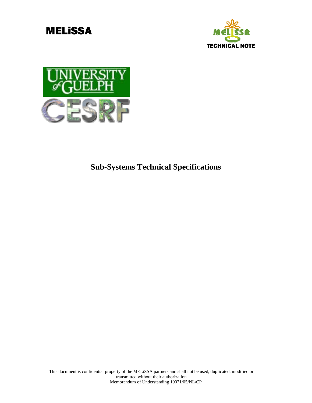



**Sub-Systems Technical Specifications**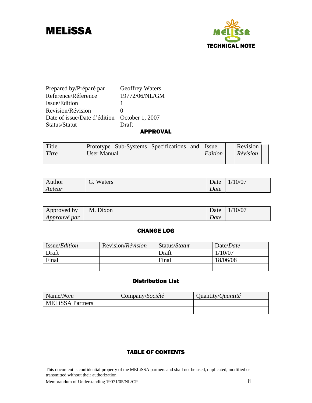



### Prepared by/Préparé par Geoffrey Waters Reference/Réference 19772/06/NL/GM Issue/Edition 1 Revision/Révision 0 Date of issue/Date d'édition October 1, 2007 Status/Statut Draft

#### APPROVAL

| Title | Prototype Sub-Systems Specifications and Issue |  |         | Revision |  |
|-------|------------------------------------------------|--|---------|----------|--|
| Titre | User Manual                                    |  | Edition | Révision |  |
|       |                                                |  |         |          |  |

| Author | Waters<br>$\sim$<br>U. | Date | 10/07<br>$\blacksquare$ |
|--------|------------------------|------|-------------------------|
| Auteur |                        | Date |                         |

| Approved by         | M. Dixon |      | Date $1/10/07$ |
|---------------------|----------|------|----------------|
| <i>Approuvé par</i> |          | Date |                |

### CHANGE LOG

| Issue/ <i>Edition</i> | Revision/ <i>Révision</i> | Status/ <i>Statut</i> | Date/ <i>Date</i> |
|-----------------------|---------------------------|-----------------------|-------------------|
| Draft                 |                           | Draft                 | 1/10/07           |
| Final                 |                           | Final                 | 18/06/08          |
|                       |                           |                       |                   |

### Distribution List

| Name/Nom                | Company/Société | Quantity/ <i>Quantité</i> |
|-------------------------|-----------------|---------------------------|
| <b>MELISSA Partners</b> |                 |                           |
|                         |                 |                           |

#### TABLE OF CONTENTS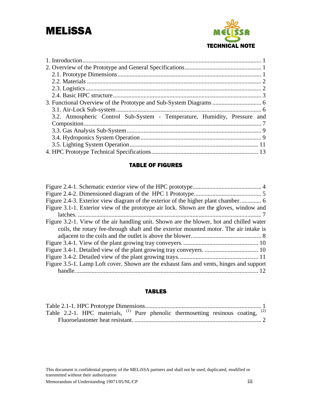

| 3.2. Atmospheric Control Sub-System - Temperature, Humidity, Pressure and |  |
|---------------------------------------------------------------------------|--|
|                                                                           |  |
|                                                                           |  |
|                                                                           |  |
|                                                                           |  |
|                                                                           |  |

### TABLE OF FIGURES

| Figure 3.1-1. Exterior view of the prototype air lock. Shown are the gloves, window and  |
|------------------------------------------------------------------------------------------|
|                                                                                          |
| Figure 3.2-1. View of the air handling unit. Shown are the blower, hot and chilled water |
| coils, the rotary fee-through shaft and the exterior mounted motor. The air intake is    |
|                                                                                          |
|                                                                                          |
|                                                                                          |
|                                                                                          |
| Figure 3.5-1. Lamp Loft cover. Shown are the exhaust fans and vents, hinges and support  |
|                                                                                          |

#### TABLES

|  |  |  | Table 2.2-1. HPC materials, $^{(1)}$ Pure phenolic thermosetting resinous coating, $^{(2)}$ |  |  |
|--|--|--|---------------------------------------------------------------------------------------------|--|--|
|  |  |  |                                                                                             |  |  |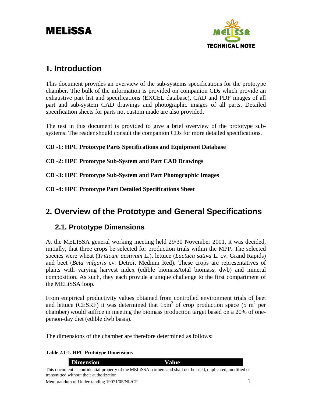

# <span id="page-3-0"></span>**1. Introduction**

This document provides an overview of the sub-systems specifications for the prototype chamber. The bulk of the information is provided on companion CDs which provide an exhaustive part list and specifications (EXCEL database), CAD and PDF images of all part and sub-system CAD drawings and photographic images of all parts. Detailed specification sheets for parts not custom made are also provided.

The test in this document is provided to give a brief overview of the prototype subsystems. The reader should consult the companion CDs for more detailed specifications.

**CD -1: HPC Prototype Parts Specifications and Equipment Database** 

**CD -2: HPC Prototype Sub-System and Part CAD Drawings** 

**CD -3: HPC Prototype Sub-System and Part Photographic Images** 

**CD -4: HPC Prototype Part Detailed Specifications Sheet** 

# **2. Overview of the Prototype and General Specifications**

## **2.1. Prototype Dimensions**

At the MELISSA general working meeting held 29/30 November 2001, it was decided, initially, that three crops be selected for production trials within the MPP. The selected species were wheat (*Triticum aestivum* L.), lettuce (*Lactuca sativa* L. cv. Grand Rapids) and beet (*Beta vulgaris* cv*.* Detroit Medium Red). These crops are representatives of plants with varying harvest index (edible biomass/total biomass, dwb) and mineral composition. As such, they each provide a unique challenge to the first compartment of the MELiSSA loop.

From empirical productivity values obtained from controlled environment trials of beet and lettuce (CESRF) it was determined that  $15m^2$  of crop production space (5 m<sup>2</sup> per chamber) would suffice in meeting the biomass production target based on a 20% of oneperson-day diet (edible dwb basis).

The dimensions of the chamber are therefore determined as follows:

### **Table 2.1-1. HPC Prototype Dimensions**

**Dimension Value**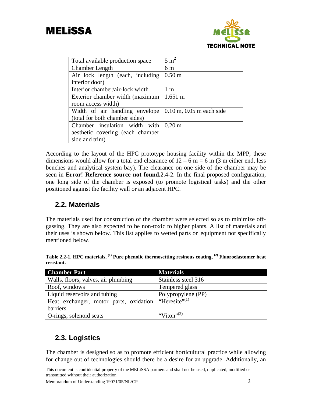<span id="page-4-0"></span>



| Total available production space | $5 \text{ m}^2$              |
|----------------------------------|------------------------------|
| <b>Chamber Length</b>            | 6 <sub>m</sub>               |
| Air lock length (each, including | 0.50 <sub>m</sub>            |
| interior door)                   |                              |
| Interior chamber/air-lock width  | 1 <sub>m</sub>               |
| Exterior chamber width (maximum  | $1.651 \text{ m}$            |
| room access width)               |                              |
| Width of air handling envelope   | $0.10$ m, $0.05$ m each side |
| (total for both chamber sides)   |                              |
| Chamber insulation width with    | $0.20 \text{ m}$             |
| aesthetic covering (each chamber |                              |
| side and trim)                   |                              |

According to the layout of the HPC prototype housing facility within the MPP, these dimensions would allow for a total end clearance of  $12 - 6$  m = 6 m (3 m either end, less benches and analytical system bay). The clearance on one side of the chamber may be seen in **Error! Reference source not found.**2.4-2. In the final proposed configuration, one long side of the chamber is exposed (to promote logistical tasks) and the other positioned against the facility wall or an adjacent HPC.

## **2.2. Materials**

The materials used for construction of the chamber were selected so as to minimize offgassing. They are also expected to be non-toxic to higher plants. A list of materials and their uses is shown below. This list applies to wetted parts on equipment not specifically mentioned below.

**Table 2.2-1. HPC materials, (1) Pure phenolic thermosetting resinous coating, (2) Fluoroelastomer heat resistant.** 

| <b>Chamber Part</b>                                              | <b>Materials</b>       |
|------------------------------------------------------------------|------------------------|
| Walls, floors, valves, air plumbing                              | Stainless steel 316    |
| Roof, windows                                                    | Tempered glass         |
| Liquid reservoirs and tubing                                     | Polypropylene (PP)     |
| Heat exchanger, motor parts, oxidation "Heresite" <sup>(1)</sup> |                        |
| barriers                                                         |                        |
| O-rings, solenoid seats                                          | "Viton" <sup>(2)</sup> |

## **2.3. Logistics**

The chamber is designed so as to promote efficient horticultural practice while allowing for change out of technologies should there be a desire for an upgrade. Additionally, an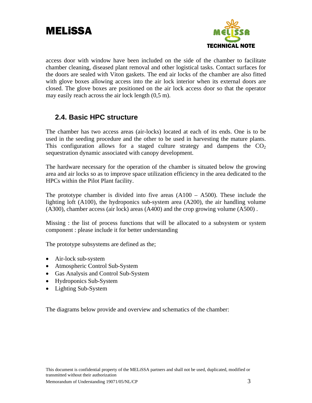<span id="page-5-0"></span>



access door with window have been included on the side of the chamber to facilitate chamber cleaning, diseased plant removal and other logistical tasks. Contact surfaces for the doors are sealed with Viton gaskets. The end air locks of the chamber are also fitted with glove boxes allowing access into the air lock interior when its external doors are closed. The glove boxes are positioned on the air lock access door so that the operator may easily reach across the air lock length (0,5 m).

## **2.4. Basic HPC structure**

The chamber has two access areas (air-locks) located at each of its ends. One is to be used in the seeding procedure and the other to be used in harvesting the mature plants. This configuration allows for a staged culture strategy and dampens the  $CO<sub>2</sub>$ sequestration dynamic associated with canopy development.

The hardware necessary for the operation of the chamber is situated below the growing area and air locks so as to improve space utilization efficiency in the area dedicated to the HPCs within the Pilot Plant facility.

The prototype chamber is divided into five areas  $(A100 - A500)$ . These include the lighting loft (A100), the hydroponics sub-system area (A200), the air handling volume (A300), chamber access (air lock) areas (A400) and the crop growing volume (A500) .

Missing : the list of process functions that will be allocated to a subsystem or system component : please include it for better understanding

The prototype subsystems are defined as the;

- Air-lock sub-system
- Atmospheric Control Sub-System
- Gas Analysis and Control Sub-System
- Hydroponics Sub-System
- Lighting Sub-System

The diagrams below provide and overview and schematics of the chamber: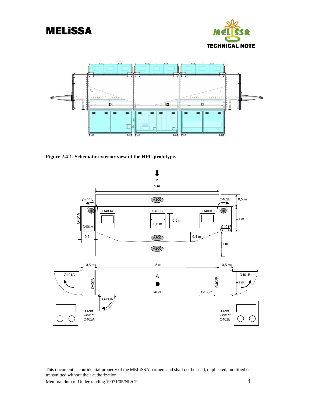<span id="page-6-0"></span>





**Figure 2.4-1. Schematic exterior view of the HPC prototype.** 

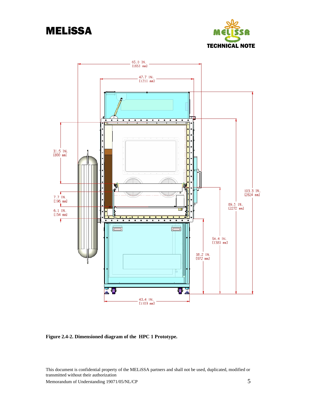

<span id="page-7-0"></span>

**Figure 2.4-2. Dimensioned diagram of the HPC 1 Prototype.**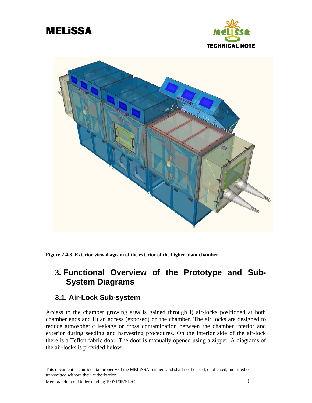<span id="page-8-0"></span>





**Figure 2.4-3. Exterior view diagram of the exterior of the higher plant chamber.** 

## **3. Functional Overview of the Prototype and Sub-System Diagrams**

### **3.1. Air-Lock Sub-system**

Access to the chamber growing area is gained through i) air-locks positioned at both chamber ends and ii) an access (exposed) on the chamber. The air locks are designed to reduce atmospheric leakage or cross contamination between the chamber interior and exterior during seeding and harvesting procedures. On the interior side of the air-lock there is a Teflon fabric door. The door is manually opened using a zipper. A diagrams of the air-locks is provided below.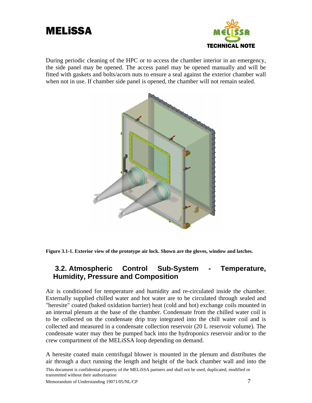<span id="page-9-0"></span>



During periodic cleaning of the HPC or to access the chamber interior in an emergency, the side panel may be opened. The access panel may be opened manually and will be fitted with gaskets and bolts/acorn nuts to ensure a seal against the exterior chamber wall when not in use. If chamber side panel is opened, the chamber will not remain sealed.



**Figure 3.1-1. Exterior view of the prototype air lock. Shown are the gloves, window and latches.** 

### **3.2. Atmospheric Control Sub-System - Temperature, Humidity, Pressure and Composition**

Air is conditioned for temperature and humidity and re-circulated inside the chamber. Externally supplied chilled water and hot water are to be circulated through sealed and "heresite" coated (baked oxidation barrier) heat (cold and hot) exchange coils mounted in an internal plenum at the base of the chamber. Condensate from the chilled water coil is to be collected on the condensate drip tray integrated into the chill water coil and is collected and measured in a condensate collection reservoir (20 L reservoir volume). The condensate water may then be pumped back into the hydroponics reservoir and/or to the crew compartment of the MELiSSA loop depending on demand.

A heresite coated main centrifugal blower is mounted in the plenum and distributes the air through a duct running the length and height of the back chamber wall and into the

This document is confidential property of the MELiSSA partners and shall not be used, duplicated, modified or transmitted without their authorization

Memorandum of Understanding 19071/05/NL/CP  $\overline{7}$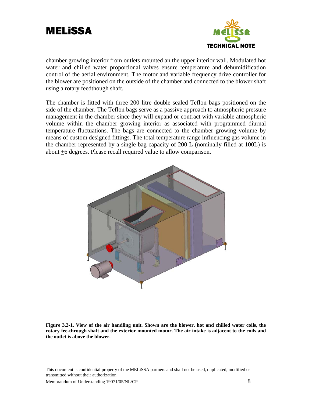<span id="page-10-0"></span>



chamber growing interior from outlets mounted an the upper interior wall. Modulated hot water and chilled water proportional valves ensure temperature and dehumidification control of the aerial environment. The motor and variable frequency drive controller for the blower are positioned on the outside of the chamber and connected to the blower shaft using a rotary feedthough shaft.

The chamber is fitted with three 200 litre double sealed Teflon bags positioned on the side of the chamber. The Teflon bags serve as a passive approach to atmospheric pressure management in the chamber since they will expand or contract with variable atmospheric volume within the chamber growing interior as associated with programmed diurnal temperature fluctuations. The bags are connected to the chamber growing volume by means of custom designed fittings. The total temperature range influencing gas volume in the chamber represented by a single bag capacity of 200 L (nominally filled at 100L) is about +6 degrees. Please recall required value to allow comparison.



**Figure 3.2-1. View of the air handling unit. Shown are the blower, hot and chilled water coils, the rotary fee-through shaft and the exterior mounted motor. The air intake is adjacent to the coils and the outlet is above the blower.**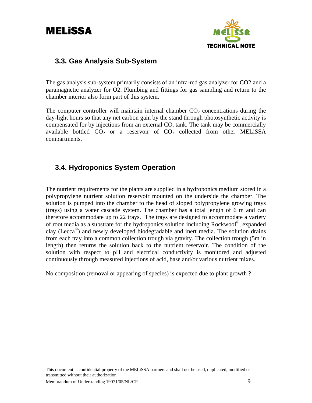

## <span id="page-11-0"></span>**3.3. Gas Analysis Sub-System**

The gas analysis sub-system primarily consists of an infra-red gas analyzer for CO2 and a paramagnetic analyzer for O2. Plumbing and fittings for gas sampling and return to the chamber interior also form part of this system.

The computer controller will maintain internal chamber  $CO<sub>2</sub>$  concentrations during the day-light hours so that any net carbon gain by the stand through photosynthetic activity is compensated for by injections from an external  $CO<sub>2</sub>$  tank. The tank may be commercially available bottled  $CO<sub>2</sub>$  or a reservoir of  $CO<sub>2</sub>$  collected from other MELiSSA compartments.

## **3.4. Hydroponics System Operation**

The nutrient requirements for the plants are supplied in a hydroponics medium stored in a polypropylene nutrient solution reservoir mounted on the underside the chamber. The solution is pumped into the chamber to the head of sloped polypropylene growing trays (trays) using a water cascade system. The chamber has a total length of 6 m and can therefore accommodate up to 22 trays. The trays are designed to accommodate a variety of root media as a substrate for the hydroponics solution including Rockwool<sup>©</sup>, expanded clay (Lecca<sup> $\circ$ </sup>) and newly developed biodegradable and inert media. The solution drains from each tray into a common collection trough via gravity. The collection trough (5m in length) then returns the solution back to the nutrient reservoir. The condition of the solution with respect to pH and electrical conductivity is monitored and adjusted continuously through measured injections of acid, base and/or various nutrient mixes.

No composition (removal or appearing of species) is expected due to plant growth ?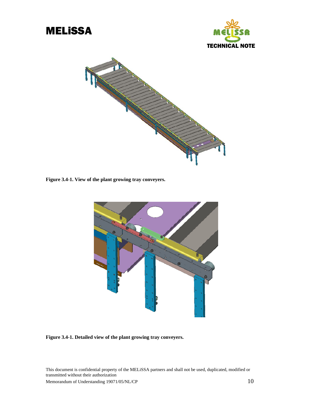<span id="page-12-0"></span>





**Figure 3.4-1. View of the plant growing tray conveyers.** 



**Figure 3.4-1. Detailed view of the plant growing tray conveyers.**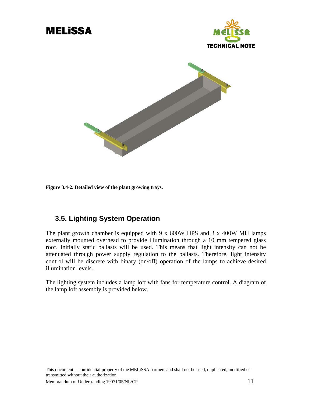

<span id="page-13-0"></span>

**Figure 3.4-2. Detailed view of the plant growing trays.** 

## **3.5. Lighting System Operation**

The plant growth chamber is equipped with 9 x  $600W$  HPS and 3 x  $400W$  MH lamps externally mounted overhead to provide illumination through a 10 mm tempered glass roof. Initially static ballasts will be used. This means that light intensity can not be attenuated through power supply regulation to the ballasts. Therefore, light intensity control will be discrete with binary (on/off) operation of the lamps to achieve desired illumination levels.

The lighting system includes a lamp loft with fans for temperature control. A diagram of the lamp loft assembly is provided below.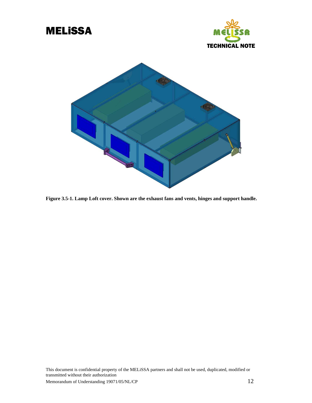<span id="page-14-0"></span>

**Figure 3.5-1. Lamp Loft cover. Shown are the exhaust fans and vents, hinges and support handle.**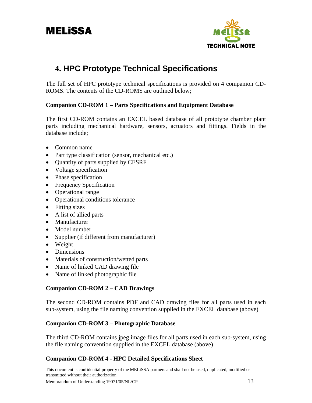

# <span id="page-15-0"></span>**4. HPC Prototype Technical Specifications**

The full set of HPC prototype technical specifications is provided on 4 companion CD-ROMS. The contents of the CD-ROMS are outlined below;

### **Companion CD-ROM 1 – Parts Specifications and Equipment Database**

The first CD-ROM contains an EXCEL based database of all prototype chamber plant parts including mechanical hardware, sensors, actuators and fittings. Fields in the database include;

- Common name
- Part type classification (sensor, mechanical etc.)
- Quantity of parts supplied by CESRF
- Voltage specification
- Phase specification
- Frequency Specification
- Operational range
- Operational conditions tolerance
- Fitting sizes
- A list of allied parts
- Manufacturer
- Model number
- Supplier (if different from manufacturer)
- Weight
- Dimensions
- Materials of construction/wetted parts
- Name of linked CAD drawing file
- Name of linked photographic file

### **Companion CD-ROM 2 – CAD Drawings**

The second CD-ROM contains PDF and CAD drawing files for all parts used in each sub-system, using the file naming convention supplied in the EXCEL database (above)

### **Companion CD-ROM 3 – Photographic Database**

The third CD-ROM contains jpeg image files for all parts used in each sub-system, using the file naming convention supplied in the EXCEL database (above)

### **Companion CD-ROM 4 - HPC Detailed Specifications Sheet**

This document is confidential property of the MELiSSA partners and shall not be used, duplicated, modified or transmitted without their authorization Memorandum of Understanding 19071/05/NL/CP  $13$